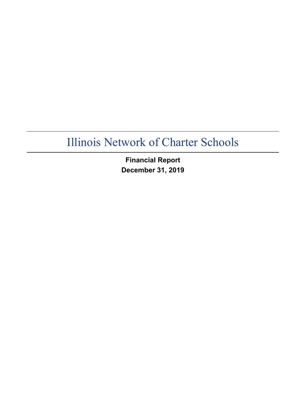**Financial Report December 31, 2019**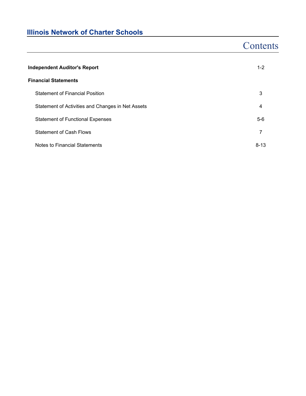## **Contents**

| <b>Independent Auditor's Report</b>               |          |  |  |  |
|---------------------------------------------------|----------|--|--|--|
| <b>Financial Statements</b>                       |          |  |  |  |
| <b>Statement of Financial Position</b>            | 3        |  |  |  |
| Statement of Activities and Changes in Net Assets | 4        |  |  |  |
| <b>Statement of Functional Expenses</b>           | $5-6$    |  |  |  |
| <b>Statement of Cash Flows</b>                    | 7        |  |  |  |
| Notes to Financial Statements                     | $8 - 13$ |  |  |  |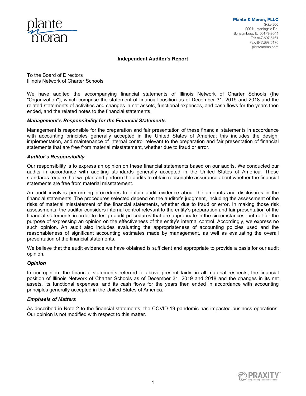

#### **Independent Auditor's Report**

To the Board of Directors Illinois Network of Charter Schools

We have audited the accompanying financial statements of Illinois Network of Charter Schools (the "Organization"), which comprise the statement of financial position as of December 31, 2019 and 2018 and the related statements of activities and changes in net assets, functional expenses, and cash flows for the years then ended, and the related notes to the financial statements.

#### *Management's Responsibility for the Financial Statements*

Management is responsible for the preparation and fair presentation of these financial statements in accordance with accounting principles generally accepted in the United States of America; this includes the design, implementation, and maintenance of internal control relevant to the preparation and fair presentation of financial statements that are free from material misstatement, whether due to fraud or error.

#### *Auditor's Responsibility*

Our responsibility is to express an opinion on these financial statements based on our audits. We conducted our audits in accordance with auditing standards generally accepted in the United States of America. Those standards require that we plan and perform the audits to obtain reasonable assurance about whether the financial statements are free from material misstatement.

An audit involves performing procedures to obtain audit evidence about the amounts and disclosures in the financial statements. The procedures selected depend on the auditor's judgment, including the assessment of the risks of material misstatement of the financial statements, whether due to fraud or error. In making those risk assessments, the auditor considers internal control relevant to the entity's preparation and fair presentation of the financial statements in order to design audit procedures that are appropriate in the circumstances, but not for the purpose of expressing an opinion on the effectiveness of the entity's internal control. Accordingly, we express no such opinion. An audit also includes evaluating the appropriateness of accounting policies used and the reasonableness of significant accounting estimates made by management, as well as evaluating the overall presentation of the financial statements.

We believe that the audit evidence we have obtained is sufficient and appropriate to provide a basis for our audit opinion.

#### *Opinion*

In our opinion, the financial statements referred to above present fairly, in all material respects, the financial position of Illinois Network of Charter Schools as of December 31, 2019 and 2018 and the changes in its net assets, its functional expenses, and its cash flows for the years then ended in accordance with accounting principles generally accepted in the United States of America.

#### *Emphasis of Matters*

As described in Note 2 to the financial statements, the COVID-19 pandemic has impacted business operations. Our opinion is not modified with respect to this matter.

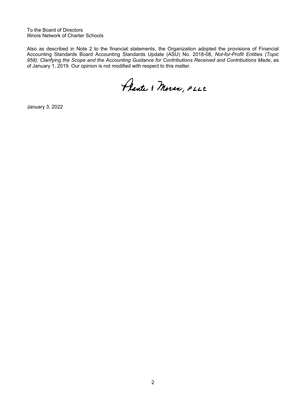To the Board of Directors Illinois Network of Charter Schools

Also as described in Note 2 to the financial statements, the Organization adopted the provisions of Financial Accounting Standards Board Accounting Standards Update (ASU) No. 2018-08, *Not-for-Profit Entities (Topic 958): Clarifying the Scope and the Accounting Guidance for Contributions Received and Contributions Made*, as of January 1, 2019. Our opinion is not modified with respect to this matter.

Plante & Moran, PLLC

January 3, 2022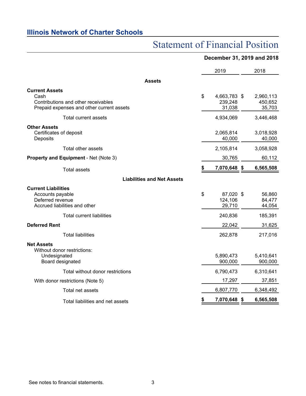## Statement of Financial Position

### **December 31, 2019 and 2018**

|                                                                                                                   | 2019 |                                   |    | 2018                           |  |  |
|-------------------------------------------------------------------------------------------------------------------|------|-----------------------------------|----|--------------------------------|--|--|
| <b>Assets</b>                                                                                                     |      |                                   |    |                                |  |  |
| <b>Current Assets</b><br>Cash<br>Contributions and other receivables<br>Prepaid expenses and other current assets | \$   | 4,663,783 \$<br>239,248<br>31,038 |    | 2,960,113<br>450,652<br>35,703 |  |  |
| Total current assets                                                                                              |      | 4,934,069                         |    | 3,446,468                      |  |  |
| <b>Other Assets</b><br>Certificates of deposit<br>Deposits                                                        |      | 2,065,814<br>40,000               |    | 3,018,928<br>40,000            |  |  |
| Total other assets                                                                                                |      | 2,105,814                         |    | 3,058,928                      |  |  |
| Property and Equipment - Net (Note 3)                                                                             |      | 30,765                            |    | 60,112                         |  |  |
| <b>Total assets</b>                                                                                               | \$   | 7,070,648                         | \$ | 6,565,508                      |  |  |
| <b>Liabilities and Net Assets</b>                                                                                 |      |                                   |    |                                |  |  |
| <b>Current Liabilities</b><br>Accounts payable<br>Deferred revenue<br>Accrued liabilities and other               | \$   | 87,020 \$<br>124,106<br>29,710    |    | 56,860<br>84,477<br>44,054     |  |  |
| <b>Total current liabilities</b>                                                                                  |      | 240,836                           |    | 185,391                        |  |  |
| <b>Deferred Rent</b>                                                                                              |      | 22,042                            |    | 31,625                         |  |  |
| <b>Total liabilities</b>                                                                                          |      | 262,878                           |    | 217,016                        |  |  |
| <b>Net Assets</b><br>Without donor restrictions:<br>Undesignated<br>Board designated                              |      | 5,890,473<br>900,000              |    | 5,410,641<br>900,000           |  |  |
| Total without donor restrictions                                                                                  |      | 6,790,473                         |    | 6,310,641                      |  |  |
| With donor restrictions (Note 5)                                                                                  |      | 17,297                            |    | 37,851                         |  |  |
| Total net assets                                                                                                  |      | 6,807,770                         |    | 6,348,492                      |  |  |
| Total liabilities and net assets                                                                                  |      | 7,070,648 \$                      |    | 6,565,508                      |  |  |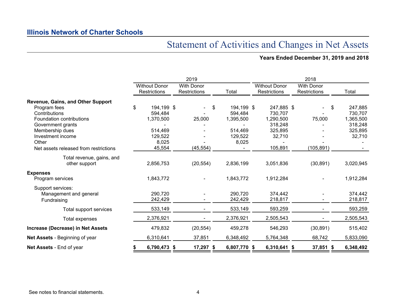## Statement of Activities and Changes in Net Assets

### **Years Ended December 31, 2019 and 2018**

|                                          |                                      | 2019                                     |              | 2018                                        |                                   |              |  |  |  |  |  |
|------------------------------------------|--------------------------------------|------------------------------------------|--------------|---------------------------------------------|-----------------------------------|--------------|--|--|--|--|--|
|                                          | <b>Without Donor</b><br>Restrictions | <b>With Donor</b><br><b>Restrictions</b> | Total        | <b>Without Donor</b><br><b>Restrictions</b> | <b>With Donor</b><br>Restrictions | Total        |  |  |  |  |  |
| <b>Revenue, Gains, and Other Support</b> |                                      |                                          |              |                                             |                                   |              |  |  |  |  |  |
| Program fees                             | \$<br>194,199 \$                     | \$                                       | 194,199 \$   | 247,885 \$                                  |                                   | 247,885<br>S |  |  |  |  |  |
| Contributions                            | 594,484                              |                                          | 594,484      | 730,707                                     |                                   | 730,707      |  |  |  |  |  |
| Foundation contributions                 | 1,370,500                            | 25,000                                   | 1,395,500    | 1,290,500                                   | 75,000                            | 1,365,500    |  |  |  |  |  |
| Government grants                        |                                      |                                          |              | 318,248                                     |                                   | 318,248      |  |  |  |  |  |
| Membership dues                          | 514,469                              |                                          | 514,469      | 325,895                                     |                                   | 325,895      |  |  |  |  |  |
| Investment income                        | 129,522                              |                                          | 129,522      | 32,710                                      |                                   | 32,710       |  |  |  |  |  |
| Other                                    | 8,025                                |                                          | 8,025        |                                             |                                   |              |  |  |  |  |  |
| Net assets released from restrictions    | 45,554                               | (45, 554)                                |              | 105,891                                     | (105, 891)                        |              |  |  |  |  |  |
| Total revenue, gains, and                |                                      |                                          |              |                                             |                                   |              |  |  |  |  |  |
| other support                            | 2,856,753                            | (20, 554)                                | 2,836,199    | 3,051,836                                   | (30, 891)                         | 3,020,945    |  |  |  |  |  |
| <b>Expenses</b>                          |                                      |                                          |              |                                             |                                   |              |  |  |  |  |  |
| Program services                         | 1,843,772                            |                                          | 1,843,772    | 1,912,284                                   |                                   | 1,912,284    |  |  |  |  |  |
| Support services:                        |                                      |                                          |              |                                             |                                   |              |  |  |  |  |  |
| Management and general                   | 290,720                              |                                          | 290,720      | 374,442                                     |                                   | 374,442      |  |  |  |  |  |
| Fundraising                              | 242,429                              |                                          | 242,429      | 218,817                                     |                                   | 218,817      |  |  |  |  |  |
| Total support services                   | 533,149                              |                                          | 533,149      | 593,259                                     |                                   | 593,259      |  |  |  |  |  |
| Total expenses                           | 2,376,921                            |                                          | 2,376,921    | 2,505,543                                   |                                   | 2,505,543    |  |  |  |  |  |
| Increase (Decrease) in Net Assets        | 479,832                              | (20, 554)                                | 459,278      | 546,293                                     | (30, 891)                         | 515,402      |  |  |  |  |  |
| Net Assets - Beginning of year           | 6,310,641                            | 37,851                                   | 6,348,492    | 5,764,348                                   | 68,742                            | 5,833,090    |  |  |  |  |  |
| Net Assets - End of year                 | 6,790,473 \$<br>S.                   | $17,297$ \$                              | 6,807,770 \$ | 6,310,641 \$                                | $37,851$ \$                       | 6,348,492    |  |  |  |  |  |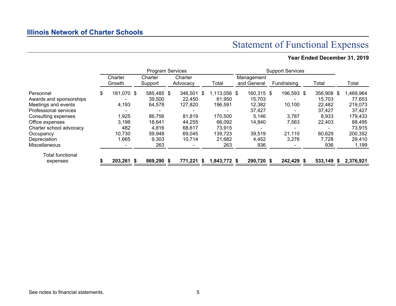## Statement of Functional Expenses

## **Year Ended December 31, 2019**

|                         | <b>Program Services</b> |                   |  |                    |  | <b>Support Services</b> |                    |  |                           |  |             |  |         |    |           |
|-------------------------|-------------------------|-------------------|--|--------------------|--|-------------------------|--------------------|--|---------------------------|--|-------------|--|---------|----|-----------|
|                         |                         | Charter<br>Growth |  | Charter<br>Support |  | Charter<br>Advocacy     | Total              |  | Management<br>and General |  | Fundraising |  | Total   |    | Total     |
| Personnel               | \$                      | 181,070 \$        |  | 585,485 \$         |  | 346,501                 | \$<br>1,113,056 \$ |  | 160,315 \$                |  | 196,593 \$  |  | 356,908 | S. | 1,469,964 |
| Awards and sponsorships |                         |                   |  | 39,500             |  | 22,450                  | 61,950             |  | 15,703                    |  |             |  | 15,703  |    | 77,653    |
| Meetings and events     |                         | 4,193             |  | 64,578             |  | 127,820                 | 196,591            |  | 12,382                    |  | 10,100      |  | 22,482  |    | 219,073   |
| Professional services   |                         |                   |  |                    |  |                         |                    |  | 37,427                    |  |             |  | 37,427  |    | 37,427    |
| Consulting expenses     |                         | 1,925             |  | 86,756             |  | 81,819                  | 170,500            |  | 5.146                     |  | 3,787       |  | 8,933   |    | 179,433   |
| Office expenses         |                         | 3,196             |  | 18,641             |  | 44,255                  | 66,092             |  | 14,840                    |  | 7,563       |  | 22,403  |    | 88,495    |
| Charter school advocacy |                         | 482               |  | 4,816              |  | 68,617                  | 73,915             |  |                           |  |             |  |         |    | 73,915    |
| Occupancy               |                         | 10,730            |  | 59,948             |  | 69,045                  | 139,723            |  | 39,519                    |  | 21,110      |  | 60,629  |    | 200,352   |
| Depreciation            |                         | 1,665             |  | 9,303              |  | 10,714                  | 21,682             |  | 4,452                     |  | 3,276       |  | 7,728   |    | 29,410    |
| <b>Miscellaneous</b>    |                         |                   |  | 263                |  | $\sim$                  | 263                |  | 936                       |  |             |  | 936     |    | 1,199     |
| Total functional        |                         |                   |  |                    |  |                         |                    |  |                           |  |             |  |         |    |           |
| expenses                |                         | 203,261 \$        |  | 869,290 \$         |  | 771,221 \$              | 1,843,772 \$       |  | 290,720 \$                |  | 242,429 \$  |  | 533,149 |    | 2,376,921 |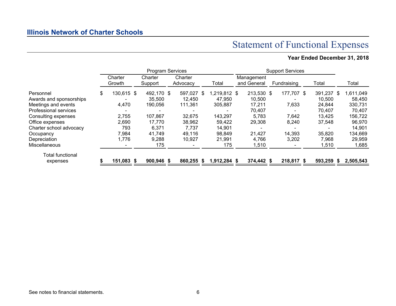## Statement of Functional Expenses

## **Year Ended December 31, 2018**

|                         | <b>Program Services</b> |  |                    |  |                     | <b>Support Services</b> |  |                           |  |             |  |         |   |           |
|-------------------------|-------------------------|--|--------------------|--|---------------------|-------------------------|--|---------------------------|--|-------------|--|---------|---|-----------|
|                         | Charter<br>Growth       |  | Charter<br>Support |  | Charter<br>Advocacy | Total                   |  | Management<br>and General |  | Fundraising |  | Total   |   | Total     |
| Personnel               | \$<br>130,615 \$        |  | 492,170 \$         |  | 597,027 \$          | $.219.812$ \$           |  | 213,530 \$                |  | 177,707 \$  |  | 391,237 | S | 1,611,049 |
| Awards and sponsorships |                         |  | 35,500             |  | 12,450              | 47,950                  |  | 10,500                    |  |             |  | 10,500  |   | 58,450    |
| Meetings and events     | 4,470                   |  | 190,056            |  | 111,361             | 305,887                 |  | 17,211                    |  | 7,633       |  | 24,844  |   | 330,731   |
| Professional services   |                         |  |                    |  |                     |                         |  | 70,407                    |  |             |  | 70,407  |   | 70,407    |
| Consulting expenses     | 2,755                   |  | 107,867            |  | 32,675              | 143,297                 |  | 5,783                     |  | 7,642       |  | 13,425  |   | 156,722   |
| Office expenses         | 2,690                   |  | 17,770             |  | 38,962              | 59,422                  |  | 29,308                    |  | 8,240       |  | 37,548  |   | 96,970    |
| Charter school advocacy | 793                     |  | 6,371              |  | 7,737               | 14,901                  |  |                           |  |             |  |         |   | 14,901    |
| Occupancy               | 7,984                   |  | 41,749             |  | 49,116              | 98,849                  |  | 21,427                    |  | 14,393      |  | 35,820  |   | 134,669   |
| Depreciation            | 1,776                   |  | 9,288              |  | 10,927              | 21,991                  |  | 4,766                     |  | 3,202       |  | 7,968   |   | 29,959    |
| Miscellaneous           |                         |  | 175                |  |                     | 175                     |  | 1,510                     |  |             |  | 1,510   |   | 1,685     |
| <b>Total functional</b> |                         |  |                    |  |                     |                         |  |                           |  |             |  |         |   |           |
| expenses                | 151,083 \$              |  | $900,946$ \$       |  | 860,255 \$          | 1,912,284 \$            |  | 374,442 \$                |  | 218,817 \$  |  | 593,259 |   | 2,505,543 |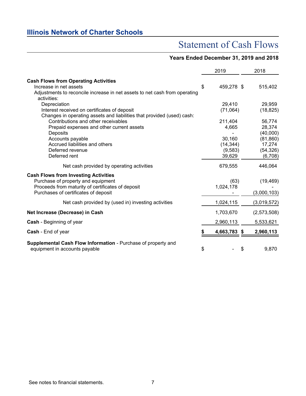## Statement of Cash Flows

### **Years Ended December 31, 2019 and 2018**

|                                                                                                                                                                                | 2019               | 2018                     |
|--------------------------------------------------------------------------------------------------------------------------------------------------------------------------------|--------------------|--------------------------|
| <b>Cash Flows from Operating Activities</b><br>Increase in net assets                                                                                                          | \$<br>459,278 \$   | 515,402                  |
| Adjustments to reconcile increase in net assets to net cash from operating<br>activities:                                                                                      |                    |                          |
| Depreciation<br>Interest received on certificates of deposit                                                                                                                   | 29,410<br>(71,064) | 29,959<br>(18, 825)      |
| Changes in operating assets and liabilities that provided (used) cash:                                                                                                         |                    |                          |
| Contributions and other receivables                                                                                                                                            | 211,404            | 56,774                   |
| Prepaid expenses and other current assets                                                                                                                                      | 4,665              | 28,374                   |
| Deposits                                                                                                                                                                       |                    | (40,000)                 |
| Accounts payable                                                                                                                                                               | 30,160             | (81, 860)                |
| Accrued liabilities and others                                                                                                                                                 | (14, 344)          | 17,274                   |
| Deferred revenue                                                                                                                                                               | (9,583)            | (54, 326)                |
| Deferred rent                                                                                                                                                                  | 39,629             | (6,708)                  |
| Net cash provided by operating activities                                                                                                                                      | 679,555            | 446,064                  |
| <b>Cash Flows from Investing Activities</b><br>Purchase of property and equipment<br>Proceeds from maturity of certificates of deposit<br>Purchases of certificates of deposit | (63)<br>1,024,178  | (19, 469)<br>(3,000,103) |
| Net cash provided by (used in) investing activities                                                                                                                            | 1,024,115          | (3,019,572)              |
| Net Increase (Decrease) in Cash                                                                                                                                                | 1,703,670          | (2,573,508)              |
| <b>Cash</b> - Beginning of year                                                                                                                                                | 2,960,113          | 5,533,621                |
| Cash - End of year                                                                                                                                                             | \$<br>4,663,783 \$ | 2,960,113                |
| Supplemental Cash Flow Information - Purchase of property and<br>equipment in accounts payable                                                                                 | \$                 | \$<br>9,870              |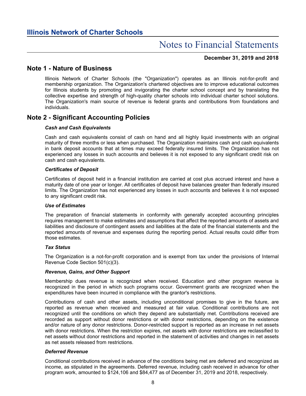#### **December 31, 2019 and 2018**

### **Note 1 - Nature of Business**

Illinois Network of Charter Schools (the "Organization") operates as an Illinois not-for-profit and membership organization. The Organization's chartered objectives are to improve educational outcomes for Illinois students by promoting and invigorating the charter school concept and by translating the collective expertise and strength of high-quality charter schools into individual charter school solutions. The Organization's main source of revenue is federal grants and contributions from foundations and individuals.

### **Note 2 - Significant Accounting Policies**

#### *Cash and Cash Equivalents*

Cash and cash equivalents consist of cash on hand and all highly liquid investments with an original maturity of three months or less when purchased. The Organization maintains cash and cash equivalents in bank deposit accounts that at times may exceed federally insured limits. The Organization has not experienced any losses in such accounts and believes it is not exposed to any significant credit risk on cash and cash equivalents.

#### *Certificates of Deposit*

Certificates of deposit held in a financial institution are carried at cost plus accrued interest and have a maturity date of one year or longer. All certificates of deposit have balances greater than federally insured limits. The Organization has not experienced any losses in such accounts and believes it is not exposed to any significant credit risk.

#### *Use of Estimates*

The preparation of financial statements in conformity with generally accepted accounting principles requires management to make estimates and assumptions that affect the reported amounts of assets and liabilities and disclosure of contingent assets and liabilities at the date of the financial statements and the reported amounts of revenue and expenses during the reporting period. Actual results could differ from those estimates.

#### *Tax Status*

The Organization is a not-for-profit corporation and is exempt from tax under the provisions of Internal Revenue Code Section 501(c)(3).

#### *Revenue, Gains, and Other Support*

Membership dues revenue is recognized when received. Education and other program revenue is recognized in the period in which such programs occur. Government grants are recognized when the expenditures have been incurred in compliance with the grantor's restrictions.

Contributions of cash and other assets, including unconditional promises to give in the future, are reported as revenue when received and measured at fair value. Conditional contributions are not recognized until the conditions on which they depend are substantially met. Contributions received are recorded as support without donor restrictions or with donor restrictions, depending on the existence and/or nature of any donor restrictions. Donor-restricted support is reported as an increase in net assets with donor restrictions. When the restriction expires, net assets with donor restrictions are reclassified to net assets without donor restrictions and reported in the statement of activities and changes in net assets as net assets released from restrictions.

#### *Deferred Revenue*

Conditional contributions received in advance of the conditions being met are deferred and recognized as income, as stipulated in the agreements. Deferred revenue, including cash received in advance for other program work, amounted to \$124,106 and \$84,477 as of December 31, 2019 and 2018, respectively.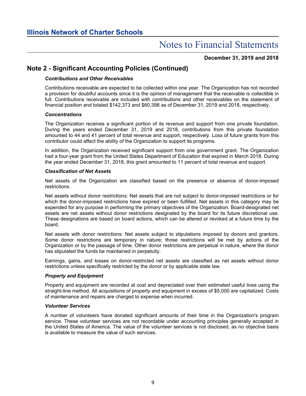**December 31, 2019 and 2018**

### **Note 2 - Significant Accounting Policies (Continued)**

#### *Contributions and Other Receivables*

Contributions receivable are expected to be collected within one year. The Organization has not recorded a provision for doubtful accounts since it is the opinion of management that the receivable is collectible in full. Contributions receivable are included with contributions and other receivables on the statement of financial position and totaled \$142,373 and \$60,398 as of December 31, 2019 and 2018, respectively.

#### *Concentrations*

The Organization receives a significant portion of its revenue and support from one private foundation. During the years ended December 31, 2019 and 2018, contributions from this private foundation amounted to 44 and 41 percent of total revenue and support, respectively. Loss of future grants from this contributor could affect the ability of the Organization to support its programs.

In addition, the Organization received significant support from one government grant. The Organization had a four-year grant from the United States Department of Education that expired in March 2018. During the year ended December 31, 2018, this grant amounted to 11 percent of total revenue and support.

#### *Classification of Net Assets*

Net assets of the Organization are classified based on the presence or absence of donor-imposed restrictions.

Net assets without donor restrictions: Net assets that are not subject to donor-imposed restrictions or for which the donor-imposed restrictions have expired or been fulfilled. Net assets in this category may be expended for any purpose in performing the primary objectives of the Organization. Board-designated net assets are net assets without donor restrictions designated by the board for its future discretional use. These designations are based on board actions, which can be altered or revoked at a future time by the board.

Net assets with donor restrictions: Net assets subject to stipulations imposed by donors and grantors. Some donor restrictions are temporary in nature; those restrictions will be met by actions of the Organization or by the passage of time. Other donor restrictions are perpetual in nature, where the donor has stipulated the funds be maintained in perpetuity.

Earnings, gains, and losses on donor-restricted net assets are classified as net assets without donor restrictions unless specifically restricted by the donor or by applicable state law.

#### *Property and Equipment*

Property and equipment are recorded at cost and depreciated over their estimated useful lives using the straight-line method. All acquisitions of property and equipment in excess of \$5,000 are capitalized. Costs of maintenance and repairs are charged to expense when incurred.

#### *Volunteer Services*

A number of volunteers have donated significant amounts of their time in the Organization's program service. These volunteer services are not recordable under accounting principles generally accepted in the United States of America. The value of the volunteer services is not disclosed, as no objective basis is available to measure the value of such services.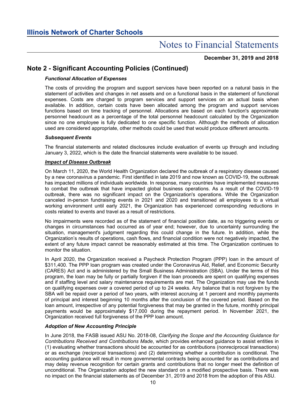**December 31, 2019 and 2018**

### **Note 2 - Significant Accounting Policies (Continued)**

#### *Functional Allocation of Expenses*

The costs of providing the program and support services have been reported on a natural basis in the statement of activities and changes in net assets and on a functional basis in the statement of functional expenses. Costs are charged to program services and support services on an actual basis when available. In addition, certain costs have been allocated among the program and support services functions based on time tracking of personnel. Allocations are based on each function's approximate personnel headcount as a percentage of the total personnel headcount calculated by the Organization since no one employee is fully dedicated to one specific function. Although the methods of allocation used are considered appropriate, other methods could be used that would produce different amounts.

#### *Subsequent Events*

The financial statements and related disclosures include evaluation of events up through and including January 3, 2022, which is the date the financial statements were available to be issued.

#### *Impact of Disease Outbreak*

On March 11, 2020, the World Health Organization declared the outbreak of a respiratory disease caused by a new coronavirus a pandemic. First identified in late 2019 and now known as COVID-19, the outbreak has impacted millions of individuals worldwide. In response, many countries have implemented measures to combat the outbreak that have impacted global business operations. As a result of the COVID-19 outbreak, there was no significant impact on the Organization's operations. While the Organization canceled in-person fundraising events in 2021 and 2020 and transitioned all employees to a virtual working environment until early 2021, the Organization has experienced corresponding reductions in costs related to events and travel as a result of restrictions.

No impairments were recorded as of the statement of financial position date, as no triggering events or changes in circumstances had occurred as of year end; however, due to uncertainty surrounding the situation, management's judgment regarding this could change in the future. In addition, while the Organization's results of operations, cash flows, and financial condition were not negatively impacted, the extent of any future impact cannot be reasonably estimated at this time. The Organization continues to monitor the situation.

In April 2020, the Organization received a Paycheck Protection Program (PPP) loan in the amount of \$311,400. The PPP loan program was created under the Coronavirus Aid, Relief, and Economic Security (CARES) Act and is administered by the Small Business Administration (SBA). Under the terms of this program, the loan may be fully or partially forgiven if the loan proceeds are spent on qualifying expenses and if staffing level and salary maintenance requirements are met. The Organization may use the funds on qualifying expenses over a covered period of up to 24 weeks. Any balance that is not forgiven by the SBA will be repaid over a period of two years, with interest accruing at 1 percent and monthly payments of principal and interest beginning 10 months after the conclusion of the covered period. Based on the loan amount, irrespective of any potential forgiveness that may be granted in the future, monthly principal payments would be approximately \$17,000 during the repayment period. In November 2021, the Organization received full forgiveness of the PPP loan amount.

#### *Adoption of New Accounting Principle*

In June 2018, the FASB issued ASU No. 2018-08, *Clarifying the Scope and the Accounting Guidance for Contributions Received and Contributions Made*, which provides enhanced guidance to assist entities in (1) evaluating whether transactions should be accounted for as contributions (nonreciprocal transactions) or as exchange (reciprocal transactions) and (2) determining whether a contribution is conditional. The accounting guidance will result in more governmental contracts being accounted for as contributions and may delay revenue recognition for certain grants and contributions that no longer meet the definition of unconditional. The Organization adopted the new standard on a modified prospective basis. There was no impact on the financial statements as of December 31, 2019 and 2018 from the adoption of this ASU.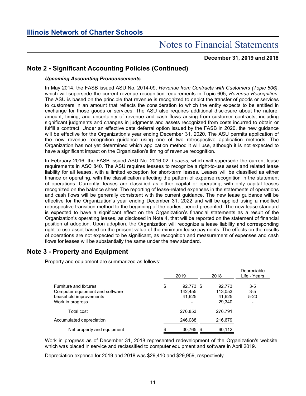**December 31, 2019 and 2018**

### **Note 2 - Significant Accounting Policies (Continued)**

#### *Upcoming Accounting Pronouncements*

In May 2014, the FASB issued ASU No. 2014-09, *Revenue from Contracts with Customers (Topic 606)*, which will supersede the current revenue recognition requirements in Topic 605, *Revenue Recognition*. The ASU is based on the principle that revenue is recognized to depict the transfer of goods or services to customers in an amount that reflects the consideration to which the entity expects to be entitled in exchange for those goods or services. The ASU also requires additional disclosure about the nature, amount, timing, and uncertainty of revenue and cash flows arising from customer contracts, including significant judgments and changes in judgments and assets recognized from costs incurred to obtain or fulfill a contract. Under an effective date deferral option issued by the FASB in 2020, the new guidance will be effective for the Organization's year ending December 31, 2020. The ASU permits application of the new revenue recognition guidance using one of two retrospective application methods. The Organization has not yet determined which application method it will use, although it is not expected to have a significant impact on the Organization's timing of revenue recognition.

In February 2016, the FASB issued ASU No. 2016-02, *Leases*, which will supersede the current lease requirements in ASC 840. The ASU requires lessees to recognize a right-to-use asset and related lease liability for all leases, with a limited exception for short-term leases. Leases will be classified as either finance or operating, with the classification affecting the pattern of expense recognition in the statement of operations. Currently, leases are classified as either capital or operating, with only capital leases recognized on the balance sheet. The reporting of lease-related expenses in the statements of operations and cash flows will be generally consistent with the current guidance. The new lease guidance will be effective for the Organization's year ending December 31, 2022 and will be applied using a modified retrospective transition method to the beginning of the earliest period presented. The new lease standard is expected to have a significant effect on the Organization's financial statements as a result of the Organization's operating leases, as disclosed in Note 4, that will be reported on the statement of financial position at adoption. Upon adoption, the Organization will recognize a lease liability and corresponding right-to-use asset based on the present value of the minimum lease payments. The effects on the results of operations are not expected to be significant, as recognition and measurement of expenses and cash flows for leases will be substantially the same under the new standard.

### **Note 3 - Property and Equipment**

Property and equipment are summarized as follows:

|                                                                                                                | 2019                                 | 2018                                  | Depreciable<br>Life - Years    |
|----------------------------------------------------------------------------------------------------------------|--------------------------------------|---------------------------------------|--------------------------------|
| <b>Furniture and fixtures</b><br>Computer equipment and software<br>Leasehold improvements<br>Work in progress | \$<br>92,773 \$<br>142.455<br>41.625 | 92.773<br>113,053<br>41.625<br>29,340 | $3 - 5$<br>$3 - 5$<br>$5 - 20$ |
| Total cost                                                                                                     | 276,853                              | 276.791                               |                                |
| Accumulated depreciation                                                                                       | 246,088                              | 216,679                               |                                |
| Net property and equipment                                                                                     | \$<br>30,765 \$                      | 60,112                                |                                |

Work in progress as of December 31, 2018 represented redevelopment of the Organization's website, which was placed in service and reclassified to computer equipment and software in April 2019.

Depreciation expense for 2019 and 2018 was \$29,410 and \$29,959, respectively.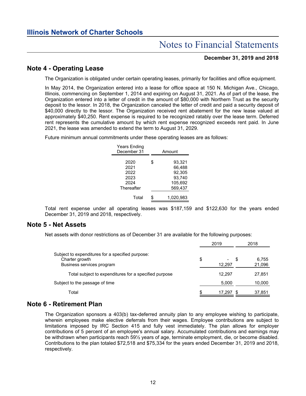## Notes to Financial Statements

#### **December 31, 2019 and 2018**

### **Note 4 - Operating Lease**

The Organization is obligated under certain operating leases, primarily for facilities and office equipment.

In May 2014, the Organization entered into a lease for office space at 150 N. Michigan Ave., Chicago, Illinois, commencing on September 1, 2014 and expiring on August 31, 2021. As of part of the lease, the Organization entered into a letter of credit in the amount of \$80,000 with Northern Trust as the security deposit to the lessor. In 2018, the Organization canceled the letter of credit and paid a security deposit of \$40,000 directly to the lessor. The Organization received rent abatement for the new lease valued at approximately \$40,250. Rent expense is required to be recognized ratably over the lease term. Deferred rent represents the cumulative amount by which rent expense recognized exceeds rent paid. In June 2021, the lease was amended to extend the term to August 31, 2029.

Future minimum annual commitments under these operating leases are as follows:

| <b>Years Ending</b><br>December 31                 | Amount                                                           |  |  |  |  |  |  |  |
|----------------------------------------------------|------------------------------------------------------------------|--|--|--|--|--|--|--|
| 2020<br>2021<br>2022<br>2023<br>2024<br>Thereafter | \$<br>93.321<br>66,488<br>92.305<br>93,740<br>105,692<br>569,437 |  |  |  |  |  |  |  |
| Total                                              | 1,020,983                                                        |  |  |  |  |  |  |  |

Total rent expense under all operating leases was \$187,159 and \$122,630 for the years ended December 31, 2019 and 2018, respectively.

#### **Note 5 - Net Assets**

Net assets with donor restrictions as of December 31 are available for the following purposes:

|                                                                                                 |    | 2019   |   | 2018            |
|-------------------------------------------------------------------------------------------------|----|--------|---|-----------------|
| Subject to expenditures for a specified purpose:<br>Charter growth<br>Business services program | \$ | 12,297 | Ъ | 6.755<br>21,096 |
| Total subject to expenditures for a specified purpose                                           |    | 12.297 |   | 27,851          |
| Subject to the passage of time                                                                  |    | 5,000  |   | 10,000          |
| Total                                                                                           | ß. | 17.297 |   | 37,851          |

#### **Note 6 - Retirement Plan**

The Organization sponsors a 403(b) tax-deferred annuity plan to any employee wishing to participate, wherein employees make elective deferrals from their wages. Employee contributions are subject to limitations imposed by IRC Section 415 and fully vest immediately. The plan allows for employer contributions of 5 percent of an employee's annual salary. Accumulated contributions and earnings may be withdrawn when participants reach 59½ years of age, terminate employment, die, or become disabled. Contributions to the plan totaled \$72,518 and \$75,334 for the years ended December 31, 2019 and 2018, respectively.